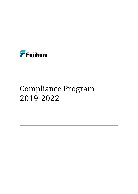

# Compliance Program 2019-2022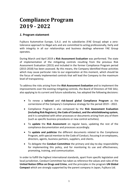# **Compliance Program 2019 - 2022**

# *1.* **Program statement**

Fujikura Automotive Europe, S.A.U. and its subsidiaries (FAE Group) adopt a zerotolerance approach to illegal acts and are committed to acting professionally, fairly and with integrity in all our relationships and business dealings wherever FAE Group operates.

During March and April 2019 a **Risk Assessment Evaluation** was performed. The state of implementation of the mitigating controls resulting from the previous Risk Assessment Evaluation (2015) and included in the former Compliance Program period (2015-2018) has been assessed. By this means, the Company identified those activities which may cause particular risks to our organization at this moment, which should be the focus of newly implemented controls that will lead the Company to the maximum level of transparency.

To address the risks arising from the *Risk Assessment Evaluation* and to implement the improvements over the existing mitigating controls, the Board of Directors of FAE SAU, also applying to its current and future subsidiaries, has adopted the following decisions:

- To renew a **tailored** and **risk-based global Compliance Program** as the cornerstone of the Company's Compliance strategy for the period 2019 – 2022.
- Compliance Program is also composed by the **Risk Assessment Evaluation (including Risk Registers), the Code of Conduct, and the whistleblowing system**, and it is completed with other processes or documents arising from any of them (such as specific business procedures or new control activities).
- To **update** the **Risk Assessment** on regular basis, updating the rest of the compliance documentation and processes accordingly.
- To **update and publicize** the different documents related to the Compliance Program, with special mention to the Code of Conduct, focusing it on employees, directors, agents, business partners, suppliers, and clients.
- To delegate the **Conduct Committee** the primary and day-to-day responsibility for implementing this policy, and for monitoring its use and effectiveness, promoting, training, and communication.

In order to fulfill the highest international standards, apart from specific legislation and local jurisdiction, Conduct Committee has taken as reference the values and rules of the **United Nation Office on Drugs and Crime**, and the principles in the program **UN Global Compact** which are strongly supported by the parent company in Japan, Fujikura Ltd.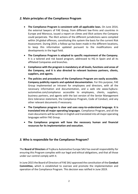### *2.* **Main principles of the Compliance Program**

- **The Compliance Program is consistent with all applicable laws.** On June 2014, the external lawyers of FAE Group, from different law-firms and countries in Europe and Morocco, issued a report on climes and illicit actions the Company could perpetrate. The illicit actions of the different jurisdictions were compiled within 24 global offences, constituting this system the basis for the current Risk Assessment. During 2019, a follow-up has been made in the different locations, to keep this information updated pursuant to the modifications and developments in the legal field.
- **The Compliance Program is adapted to specific requirement of the Company.** It is a tailored and risk based program, addressed to HQ in Spain and all its affiliated Companies and branches.
- **Compliance with the program is mandatory at all levels, functions and areas of the Company, and it is also directed to relevant business partners, clients, suppliers, and agents.**
- **The policies and procedures of the Compliance Program are easily accessible. Company publicity reports and updated documentation.** For this purpose, FAE Group implemented an Intranet for employees and directors, with all the necessary information and documentation, and a web site www.fujikuraautomotive.com/compliance accessible to employees, clients, suppliers, business partners, and agents with the last version of the Senior Management Zero tolerance statement, the Compliance Program, Code of Conduct, and any other relevant documents if necessary.
- **The Compliance program is clear and uses easy-to-understand language. It is translated into all major operating languages**. Compliance Program, and all the main documents will be written in English and translated into all major operating languages within FAE Group.
- **The Compliance program will have the necessary human and financial resources for its implementation and execution.**

# *3.* **Who is responsible for the Compliance Program?**

The **Board of Directors** of Fujikura Automotive Europe SAU has overall responsibility for ensuring this Program complies with our legal and ethical obligations, and that all those under our control comply with it.

In June 2015 the Board of Directors of FAE SAU approved the constitution of the **Conduct Committee,** which is established to oversee and promote the implementation and operation of the Compliance Program. This decision was ratified in June 2019.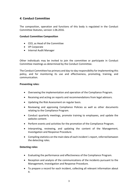# *4.* **Conduct Committee**

The composition, operation and functions of this body is regulated in the Conduct Committee Statutes, version 1.06.2016.

#### **Conduct Committee Composition**

- CEO, as Head of the Committee
- VP Corporate
- Internal Audit Manager

Other individuals may be invited to join the committee or participate in Conduct Committee meetings as determined by the Conduct Committee.

The Conduct Committee has primary and day-to-day responsibility for implementing this policy, and for monitoring its use and effectiveness, promoting, training, and communication.

#### **Preventing roles:**

- Overseeing the implementation and operation of the Compliance Program.
- Receiving and acting on reports and recommendations from legal advisors.
- Updating the Risk Assessment on regular basis.
- Reviewing and approving Compliance Policies as well as other documents relating to the Compliance Program.
- Conduct quarterly meetings, promote training to employees, and update the website content.
- Perform events and activities for the promotion of the Compliance Program.
- Interpreting, reviewing, and updating the content of the Management, Investigation and Response Procedure.
- Compiling statistics on the main data of each incident´s report, referred between the detecting roles.

#### **Detecting roles:**

- Evaluating the performance and effectiveness of the Compliance Program.
- Reception and analysis of the communications of the incidents pursuant to the Management, Investigation and Response Procedure.
- To prepare a record for each incident, collecting all relevant information about it.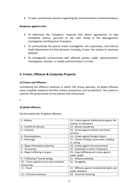To take a preliminary decision regarding the communications mentioned above.

#### **Response against crisis:**

- To determine the Company's response and, where appropriate, to take immediate actions, pursuant to the rules stated in the Management, Investigation and Response Procedure.
- To communicate the person under investigation, the supervisors, and Internal Audit Department the final decision, including, if exist, the actions or sanctions adopted.
- To strategically communicate with affected parties, public administrations, investigators, workers, or media communication is crucial.

### *5.* **Crimes, Offences & Corporate Property**

#### **a) Crimes and Offences**

Considering the different locations in which FAE Group operates, 24 global offenses were compiled, based on the illicit actions arising from such jurisdictions. This system is used for the performance of the present Risk Assessment.

**!**

#### **24 global offences**

Do find below the 24 global offenses:

| 1.- Bribery                              | 13.- Crimes against intellectual property, the |
|------------------------------------------|------------------------------------------------|
|                                          | market, or consumers                           |
| 2.- Conflict of interests                | 14.- Money-laundering                          |
| 3.- Collusion                            | 15.- Crimes against workers and Social         |
|                                          | Security.                                      |
| 4.- Revolving doors                      | 16.- Crimes against foreign citizens           |
| 5.- Patronage                            | 17.- Crimes of illegal construction, building  |
|                                          | or zoning                                      |
| 6.- Illegal information brokering        | 18.- Crimes against the environment            |
| 7.- Tax evasion                          | 19.- Falsehood in means of payment             |
| 8.- Illegal trafficking in organs        | 20.- Drug trafficking and crimes against       |
|                                          | public health                                  |
| 9.- Trafficking in human beings          | 21.- Influence pending                         |
| 10.- Crimes against privacy and computer | 22.- Smuggling                                 |
| trespassing                              |                                                |
| 11.- Fraud                               | 23.- Offences against fundamental rights and   |
|                                          | public freedoms                                |
| 12.- Criminal insolvency                 | 24.- Terrorism financing                       |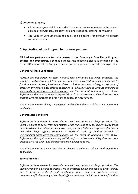#### **b) Corporate property**

- All the employees and directors shall handle and endeavor to ensure the general upkeep of all Company property, avoiding its loosing, stealing, or misusing.
- The Code of Conduct states the rules and guidelines for conduct to protect corporate assets.

# *6.* **Application of the Program to business partners**

**All business partners are to make aware of the Company's Compliance Program policies and procedures.** For that purpose, the following clause is included in the General Conditions of the Company, and any other negotiated contracts, when possible.

#### **General Purchase Conditions**

*Fujikura declares hereby its zero-tolerance with corruption and illegal practices. The Supplier is obliged to desist from all practices which may lead to penal liability due to fraud or embezzlement, insolvency crimes, collusion practices, bribery, acceptance of bribes or any other illegal offence contained in Fujikura's Code of Conduct available at www.fujikura-automotive.com/compliance*. *On the event of violation of the above, Fujikura has the right to immediately withdraw from or terminate all legal transactions existing with the Supplier and the right to cancel all negotiations.*

*Notwithstanding the above, the Supplier is obliged to adhere to all laws and regulations applicable.*

#### **General Sales Conditions**

*Fujikura declares hereby its zero-tolerance with corruption and illegal practices. The Client is obliged to desist from all practices which may lead to penal liability due to fraud or embezzlement, insolvency crimes, collusion practices, bribery, acceptance of bribes or any other illegal offence contained in Fujikura's Code of Conduct available at www.fujikura-automotive.com/compliance*. *On the event of violation of the above, Fujikura has the right to immediately withdraw from or terminate all legal transactions existing with the Client and the right to cancel all negotiations.*

*Notwithstanding the above, the Client is obliged to adhere to all laws and regulations applicable.*

#### **Service Providers**

*Fujikura declares hereby its zero-tolerance with corruption and illegal practices. The Service Provider is obliged to desist from all practices which may lead to penal liability due to fraud or embezzlement, insolvency crimes, collusion practices, bribery, acceptance of bribes or any other illegal offence contained in Fujikura's Code of Conduct*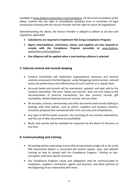*available at www.fujikura-automotive.com/compliance*. *On the event of violation of the above, Fujikura has the right to immediately withdraw from or terminate all legal transactions existing with the Service Provider and the right to cancel all negotiations.*

*Notwithstanding the above, the Service Provider is obliged to adhere to all laws and regulations applicable.*

- **Subsidiaries are required to implement FAE Group Compliance Program.**
- **Agent, intermediaries, contractors, clients, and suppliers are also required to comply with the Compliance Program accessible at** *www.fujikuraautomotive.com/compliance*
- **Due diligence will be applied when a new business alliance is selected.**

# *7.* **Internal control and records keeping**

- Conduct Committee will implement organizational measures and internal controls contained in the Risk Register, under Mitigating Control section, and will assess the performance and effectiveness of such controls on a regular basis.
- Accurate books and records will be maintained, updated, and kept safe by the Conduct Committee. The term "books and records" does not only relate to the documentation of financial transactions, but also contract records, gift traceability, whistle blowing historical records, and any other.
- All accounts, invoices, memoranda, and other documents and records relating to dealings with third parties, such as clients, suppliers and business contacts, should be prepared and maintained with strict accuracy and completeness.
- Any type of off-the-books accounts, the recording of non-existent expenditure, and the use of false documents are prohibited.
- Books and records will be available for inspection by the Board of Directors at any time.

# *8.* **Communicating and training**

- All existing workers operating in areas that are perceived as high risk as far as the Risk Assessment Report is concerned will receive regular, easy, and relevant training on how to comply with the Compliance Program. Training on anticorruption shall have special relevance.
- Our Compliance Program values and obligations shall be communicated to employees, suppliers, contractors, agents and business, and other partners at the beginning of our relationship with them.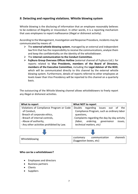# *9.* **Detecting and reporting violations. Whistle blowing system**

Whistle blowing is the disclosing of information that an employee reasonably believes to be evidence of illegality or misconduct. In other words, it is a reporting mechanism that uses employees to report malfeasance (illegal or dishonest activity).

According to the Management, Investigation and Response Procedure, incidents may be communicated by means of:

- The **external whistle blowing system**, managed by an external and independent law firm that has the responsibility to receive the communications, analyze them and keep the confidentiality on the identity of the whistleblower.
- The **internal communication to the Conduct Committee.**
- **Fujikura Group Overseas Offices Hotline** (external channel of Fujikura Ltd.): for reports related to **Vice Presidents, members of the Board of Directors, members of the Executive Committee**, including the **Legal Advisor of the BOD**, which will be communicated directly to this channel by the external whistle blowing system. Furthermore, details of reports referred to other employees at levels lower than Vice Presidency will be reported to this channel on a quarterly basis.

The outsourcing of the Whistle blowing channel allows whistleblowers to freely report any illegal or dishonest activities.

| What to report                            | What NOT to report                             |
|-------------------------------------------|------------------------------------------------|
| -Violations of Compliance Program or Code | -Doubts regarding<br>issues<br>out of<br>the   |
| of Conduct,                               | Compliance Program, such as ordinary labor     |
| - Breach of corporate ethics,             | questions,                                     |
| - Breach of internal controls,            | - Complaints regarding the day-by-day activity |
| - Abuse of authority,                     | ordering,<br>governance<br>issues,<br>(labor,  |
| - Any other activities prohibited by Law. | technical matters, etc)                        |
|                                           |                                                |
|                                           |                                                |
| Whistleblowing                            | communication<br>channels<br>customary         |
|                                           | (Suggestion boxes, etc)                        |

#### **Who can be a whistleblower?**

- Employees and directors
- Business partners
- Clients
- Suppliers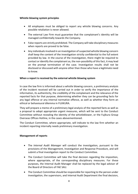#### **Whistle blowing system principles**

- All employees must be obliged to report any whistle blowing concerns. Any possible retaliation is never allowed.
- The external Law Firm must guarantee that the complainant's identity will be managed confidentially towards the Company.
- False reports are strictly prohibited. The Company will take disciplinary measures when reports are proved to be false.
- Any individuals involved in an investigation of suspected whistle blowing concern shall keep the content of the investigation strictly confidential to the full extent provided by law. In the course of the investigation, there might be required to contact or identify the complainant as, the non-possibility of this fact, it may lead on the prompt termination of the case. Investigation results shall not be disclosed or discussed with anyone other than those who have a legitimate need to know.

#### **When a report is received by the external whistle blowing system**

In case the law firm is informed about a whistle blowing concern, a preliminary analysis of the incident received will be carried out in order to verify the importance of the information, its authenticity, the credibility of the complainant and the relevance of the reported facts for that purpose, determining whether they can be grounding facts for any legal offence or any internal normative offence, as well as whether they form an ethical or behavioural dilemma in FUJIKURA.

They will prepare a memo of a preliminary legal analysis of the reported facts as well as a proposal to adopt appropriate urgent measures, which will be sent to the Conduct Committee without revealing the identity of the whistleblower, or the Fujikura Group Overseas Offices Hotline, in the cases abovementioned.

The Conduct Committee, where appropriate, will indicate to the law firm whether an incident reporting internally needs preliminary investigation.

#### **Management of reports**

- The *Internal Audit Manager* will conduct the investigation, pursuant to the provisions of the Management, Investigation and Response Procedure, and will submit a final investigation report to the Conduct Committee.
- The Conduct Committee will take the final decision regarding the imposition, where appropriate, of the corresponding disciplinary measures. For these purposes, the Internal Audit Manager shall be replaced by the legal advisor of the Board of Directors of FAE SAU.
- The Conduct Committee should be responsible for reporting to the person under investigation, the supervisors, and Internal Audit Department the final decision,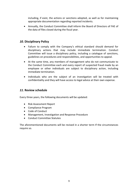including, if exist, the actions or sanctions adopted, as well as for maintaining appropriate documentation regarding reported incidents.

 Annually, the Conduct Committee shall inform the Board of Directors of FAE of the data of files closed during the fiscal year.

# *10.* **Disciplinary Policy**

- Failure to comply with the Company's ethical standard should demand for disciplinary actions that may include immediate termination. Conduct Committee will issue a disciplinary policy, including a catalogue of sanctions, guidelines on procedures and responsibilities, and opportunities to appeal.
- At the same time, any members of management who do not communicate to the Conduct Committee each and every report of suspected fraud made by an employee or other individuals are subject to disciplinary action, including immediate termination.
- Individuals who are the subject of an investigation will be treated with confidentiality and they will have access to legal advice at their own expense.

# *11.* **Review schedule**

Every three years, the following documents will be updated:

- Risk Assessment Report
- Compliance Program
- Code of Conduct
- Management, Investigation and Response Procedure
- **•** Conduct Committee Statutes

The aforementioned documents will be revised in a shorter term If the circumstances require so.